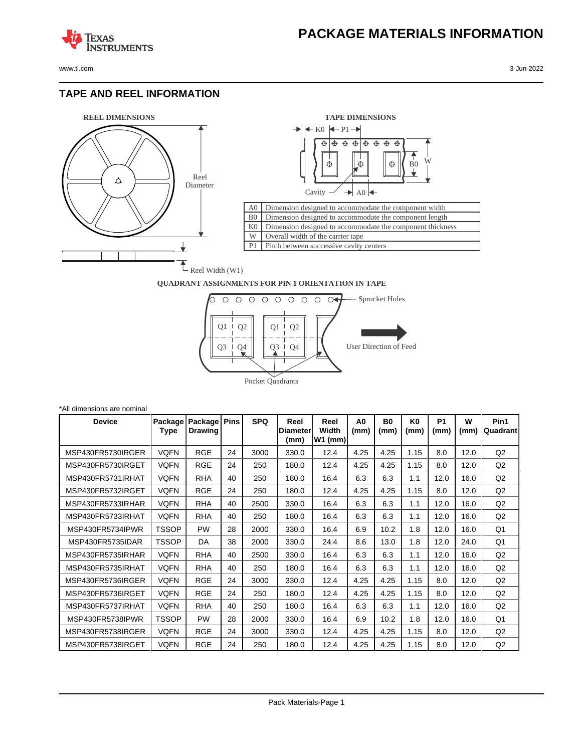www.ti.com 3-Jun-2022

**TEXAS** 

#### **TAPE AND REEL INFORMATION**

**ISTRUMENTS** 





#### **QUADRANT ASSIGNMENTS FOR PIN 1 ORIENTATION IN TAPE**



| *All dimensions are nominal |                 |                           |             |            |                                  |                            |                        |                   |                        |                   |           |                  |
|-----------------------------|-----------------|---------------------------|-------------|------------|----------------------------------|----------------------------|------------------------|-------------------|------------------------|-------------------|-----------|------------------|
| <b>Device</b>               | Package<br>Type | Package<br><b>Drawing</b> | <b>Pins</b> | <b>SPQ</b> | Reel<br><b>IDiameter</b><br>(mm) | Reel<br>Width<br>$W1$ (mm) | A <sub>0</sub><br>(mm) | <b>B0</b><br>(mm) | K <sub>0</sub><br>(mm) | <b>P1</b><br>(mm) | W<br>(mm) | Pin1<br>Quadrant |
| MSP430FR5730IRGER           | <b>VQFN</b>     | <b>RGE</b>                | 24          | 3000       | 330.0                            | 12.4                       | 4.25                   | 4.25              | 1.15                   | 8.0               | 12.0      | Q2               |
| MSP430FR5730IRGET           | <b>VQFN</b>     | <b>RGE</b>                | 24          | 250        | 180.0                            | 12.4                       | 4.25                   | 4.25              | 1.15                   | 8.0               | 12.0      | Q2               |
| MSP430FR5731IRHAT           | <b>VQFN</b>     | <b>RHA</b>                | 40          | 250        | 180.0                            | 16.4                       | 6.3                    | 6.3               | 1.1                    | 12.0              | 16.0      | Q2               |
| MSP430FR5732IRGET           | VQFN            | <b>RGE</b>                | 24          | 250        | 180.0                            | 12.4                       | 4.25                   | 4.25              | 1.15                   | 8.0               | 12.0      | Q2               |
| MSP430FR5733IRHAR           | <b>VQFN</b>     | <b>RHA</b>                | 40          | 2500       | 330.0                            | 16.4                       | 6.3                    | 6.3               | 1.1                    | 12.0              | 16.0      | Q2               |
| MSP430FR5733IRHAT           | <b>VQFN</b>     | <b>RHA</b>                | 40          | 250        | 180.0                            | 16.4                       | 6.3                    | 6.3               | 1.1                    | 12.0              | 16.0      | Q2               |
| MSP430FR5734IPWR            | <b>TSSOP</b>    | <b>PW</b>                 | 28          | 2000       | 330.0                            | 16.4                       | 6.9                    | 10.2              | 1.8                    | 12.0              | 16.0      | Q <sub>1</sub>   |
| MSP430FR5735IDAR            | <b>TSSOP</b>    | DA                        | 38          | 2000       | 330.0                            | 24.4                       | 8.6                    | 13.0              | 1.8                    | 12.0              | 24.0      | Q <sub>1</sub>   |
| MSP430FR5735IRHAR           | <b>VQFN</b>     | <b>RHA</b>                | 40          | 2500       | 330.0                            | 16.4                       | 6.3                    | 6.3               | 1.1                    | 12.0              | 16.0      | Q2               |
| MSP430FR5735IRHAT           | <b>VQFN</b>     | <b>RHA</b>                | 40          | 250        | 180.0                            | 16.4                       | 6.3                    | 6.3               | 1.1                    | 12.0              | 16.0      | Q2               |
| MSP430FR5736IRGER           | <b>VQFN</b>     | <b>RGE</b>                | 24          | 3000       | 330.0                            | 12.4                       | 4.25                   | 4.25              | 1.15                   | 8.0               | 12.0      | Q2               |
| MSP430FR5736IRGET           | <b>VQFN</b>     | <b>RGE</b>                | 24          | 250        | 180.0                            | 12.4                       | 4.25                   | 4.25              | 1.15                   | 8.0               | 12.0      | Q2               |
| MSP430FR5737IRHAT           | <b>VQFN</b>     | <b>RHA</b>                | 40          | 250        | 180.0                            | 16.4                       | 6.3                    | 6.3               | 1.1                    | 12.0              | 16.0      | Q2               |
| MSP430FR5738IPWR            | <b>TSSOP</b>    | PW                        | 28          | 2000       | 330.0                            | 16.4                       | 6.9                    | 10.2              | 1.8                    | 12.0              | 16.0      | Q <sub>1</sub>   |
| MSP430FR5738IRGER           | <b>VQFN</b>     | <b>RGE</b>                | 24          | 3000       | 330.0                            | 12.4                       | 4.25                   | 4.25              | 1.15                   | 8.0               | 12.0      | Q <sub>2</sub>   |
| MSP430FR5738IRGET           | <b>VQFN</b>     | <b>RGE</b>                | 24          | 250        | 180.0                            | 12.4                       | 4.25                   | 4.25              | 1.15                   | 8.0               | 12.0      | Q2               |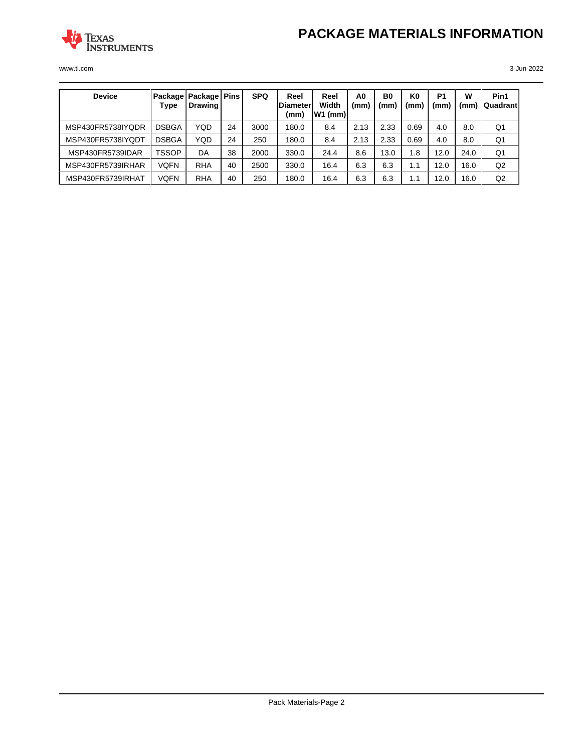# **PACKAGE MATERIALS INFORMATION**



www.ti.com 3-Jun-2022

| <b>Device</b>     | Type         | Package   Package   Pins<br>Drawing |    | <b>SPQ</b> | Reel<br>lDiameter∣<br>(mm) | Reel<br>Width<br> W1 (mm) | A <sub>0</sub><br>(mm | B <sub>0</sub><br>(mm | K0<br>(mm) | P <sub>1</sub><br>(mm` | W<br>(mm | Pin1<br><b>QuadrantI</b> |
|-------------------|--------------|-------------------------------------|----|------------|----------------------------|---------------------------|-----------------------|-----------------------|------------|------------------------|----------|--------------------------|
| MSP430FR5738IYQDR | <b>DSBGA</b> | YQD                                 | 24 | 3000       | 180.0                      | 8.4                       | 2.13                  | 2.33                  | 0.69       | 4.0                    | 8.0      | Q1                       |
| MSP430FR5738IYODT | <b>DSBGA</b> | <b>YQD</b>                          | 24 | 250        | 180.0                      | 8.4                       | 2.13                  | 2.33                  | 0.69       | 4.0                    | 8.0      | Q1                       |
| MSP430FR5739IDAR  | TSSOP        | DA                                  | 38 | 2000       | 330.0                      | 24.4                      | 8.6                   | 13.0                  | 1.8        | 12.0                   | 24.0     | Q1                       |
| MSP430FR5739IRHAR | <b>VQFN</b>  | <b>RHA</b>                          | 40 | 2500       | 330.0                      | 16.4                      | 6.3                   | 6.3                   | 1.1        | 12.0                   | 16.0     | Q <sub>2</sub>           |
| MSP430FR5739IRHAT | <b>VQFN</b>  | <b>RHA</b>                          | 40 | 250        | 180.0                      | 16.4                      | 6.3                   | 6.3                   | 1.1        | 12.0                   | 16.0     | Q2                       |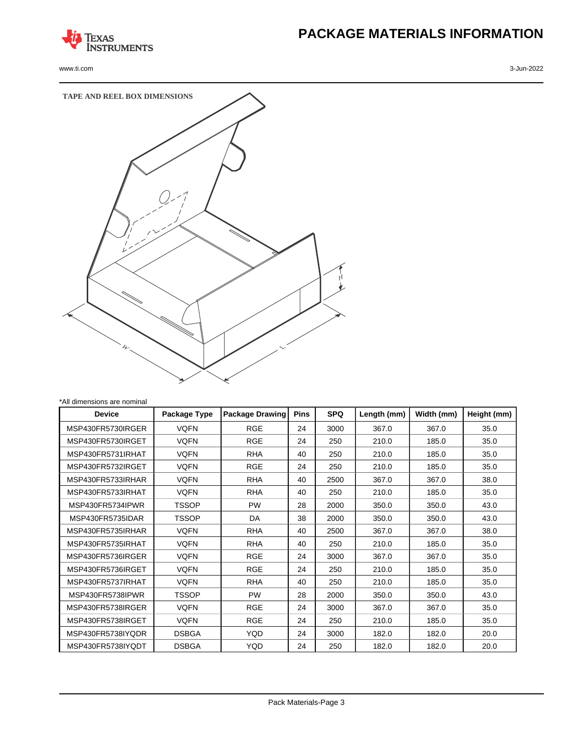

www.ti.com 3-Jun-2022

# **PACKAGE MATERIALS INFORMATION**



| <b>Device</b>     | Package Type | <b>Package Drawing</b> | <b>Pins</b> | <b>SPQ</b> | Length (mm) | Width (mm) | Height (mm) |
|-------------------|--------------|------------------------|-------------|------------|-------------|------------|-------------|
| MSP430FR5730IRGER | <b>VQFN</b>  | <b>RGE</b>             | 24          | 3000       | 367.0       | 367.0      | 35.0        |
| MSP430FR5730IRGET | <b>VQFN</b>  | <b>RGE</b>             | 24          | 250        | 210.0       | 185.0      | 35.0        |
| MSP430FR5731IRHAT | <b>VQFN</b>  | <b>RHA</b>             | 40          | 250        | 210.0       | 185.0      | 35.0        |
| MSP430FR5732IRGET | <b>VQFN</b>  | <b>RGE</b>             | 24          | 250        | 210.0       | 185.0      | 35.0        |
| MSP430FR5733IRHAR | <b>VQFN</b>  | <b>RHA</b>             | 40          | 2500       | 367.0       | 367.0      | 38.0        |
| MSP430FR5733IRHAT | <b>VQFN</b>  | <b>RHA</b>             | 40          | 250        | 210.0       | 185.0      | 35.0        |
| MSP430FR5734IPWR  | TSSOP        | <b>PW</b>              | 28          | 2000       | 350.0       | 350.0      | 43.0        |
| MSP430FR5735IDAR  | TSSOP        | DA                     | 38          | 2000       | 350.0       | 350.0      | 43.0        |
| MSP430FR5735IRHAR | <b>VQFN</b>  | <b>RHA</b>             | 40          | 2500       | 367.0       | 367.0      | 38.0        |
| MSP430FR5735IRHAT | <b>VQFN</b>  | <b>RHA</b>             | 40          | 250        | 210.0       | 185.0      | 35.0        |
| MSP430FR5736IRGER | <b>VQFN</b>  | <b>RGE</b>             | 24          | 3000       | 367.0       | 367.0      | 35.0        |
| MSP430FR5736IRGET | <b>VQFN</b>  | <b>RGE</b>             | 24          | 250        | 210.0       | 185.0      | 35.0        |
| MSP430FR5737IRHAT | <b>VQFN</b>  | <b>RHA</b>             | 40          | 250        | 210.0       | 185.0      | 35.0        |
| MSP430FR5738IPWR  | <b>TSSOP</b> | <b>PW</b>              | 28          | 2000       | 350.0       | 350.0      | 43.0        |
| MSP430FR5738IRGER | <b>VQFN</b>  | <b>RGE</b>             | 24          | 3000       | 367.0       | 367.0      | 35.0        |
| MSP430FR5738IRGET | <b>VQFN</b>  | <b>RGE</b>             | 24          | 250        | 210.0       | 185.0      | 35.0        |
| MSP430FR5738IYQDR | <b>DSBGA</b> | <b>YQD</b>             | 24          | 3000       | 182.0       | 182.0      | 20.0        |
| MSP430FR5738IYQDT | <b>DSBGA</b> | YQD                    | 24          | 250        | 182.0       | 182.0      | 20.0        |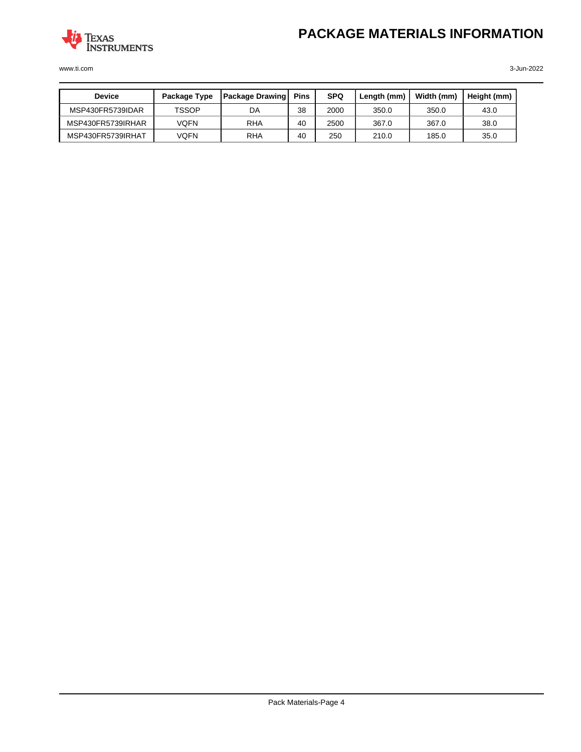

www.ti.com 3-Jun-2022

| <b>Device</b>     | Package Type | <b>Package Drawing</b> | <b>Pins</b> | <b>SPQ</b> | Length (mm) | Width (mm) | Height (mm) |
|-------------------|--------------|------------------------|-------------|------------|-------------|------------|-------------|
| MSP430FR5739IDAR  | <b>TSSOP</b> | DA                     | 38          | 2000       | 350.0       | 350.0      | 43.0        |
| MSP430FR5739IRHAR | VOFN         | <b>RHA</b>             | 40          | 2500       | 367.0       | 367.0      | 38.0        |
| MSP430FR5739IRHAT | VQFN         | <b>RHA</b>             | 40          | 250        | 210.0       | 185.0      | 35.0        |